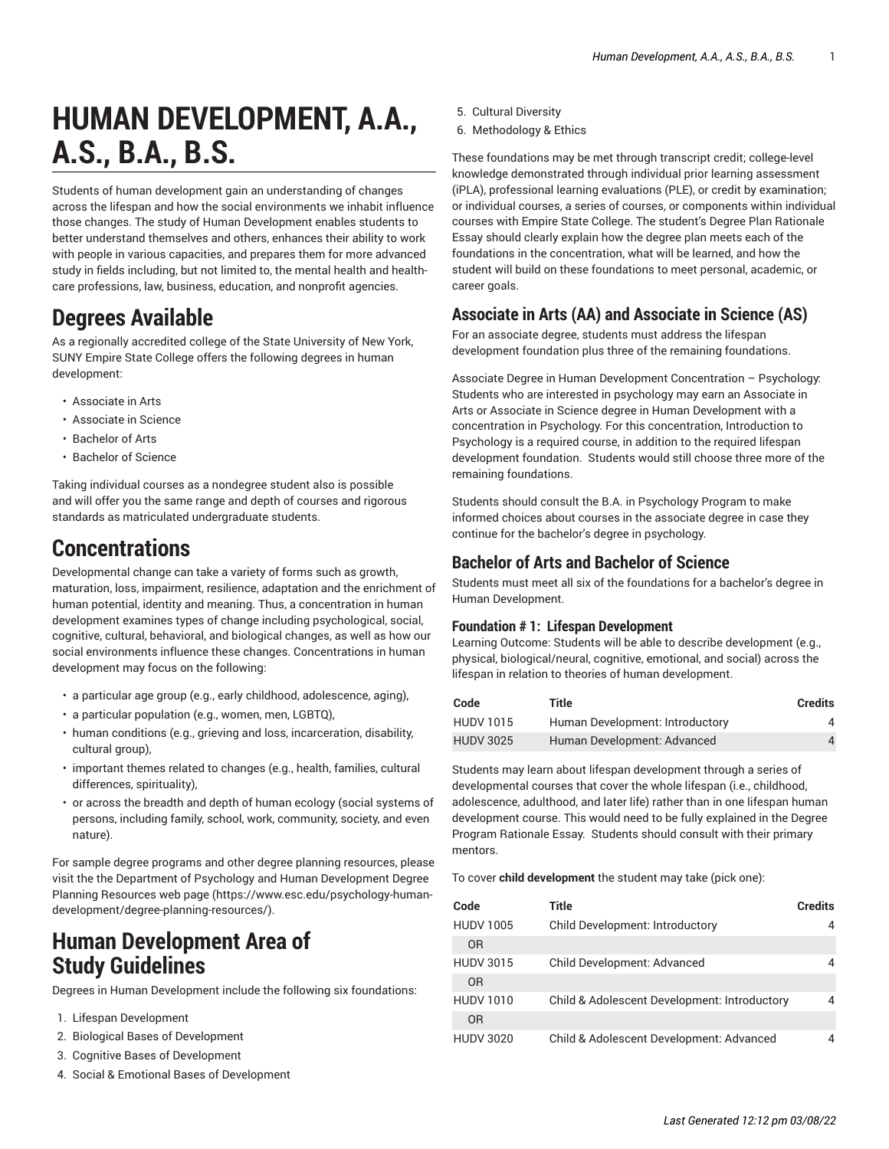# **HUMAN DEVELOPMENT, A.A., A.S., B.A., B.S.**

Students of human development gain an understanding of changes across the lifespan and how the social environments we inhabit influence those changes. The study of Human Development enables students to better understand themselves and others, enhances their ability to work with people in various capacities, and prepares them for more advanced study in fields including, but not limited to, the mental health and healthcare professions, law, business, education, and nonprofit agencies.

# **Degrees Available**

As a regionally accredited college of the State University of New York, SUNY Empire State College offers the following degrees in human development:

- Associate in Arts
- Associate in Science
- Bachelor of Arts
- Bachelor of Science

Taking individual courses as a nondegree student also is possible and will offer you the same range and depth of courses and rigorous standards as matriculated undergraduate students.

## **Concentrations**

Developmental change can take a variety of forms such as growth, maturation, loss, impairment, resilience, adaptation and the enrichment of human potential, identity and meaning. Thus, a concentration in human development examines types of change including psychological, social, cognitive, cultural, behavioral, and biological changes, as well as how our social environments influence these changes. Concentrations in human development may focus on the following:

- a particular age group (e.g., early childhood, adolescence, aging),
- a particular population (e.g., women, men, LGBTQ),
- human conditions (e.g., grieving and loss, incarceration, disability, cultural group),
- important themes related to changes (e.g., health, families, cultural differences, spirituality),
- or across the breadth and depth of human ecology (social systems of persons, including family, school, work, community, society, and even nature).

For sample degree programs and other degree planning resources, please visit the the Department of Psychology and Human [Development](https://www.esc.edu/psychology-human-development/degree-planning-resources/) Degree Planning [Resources](https://www.esc.edu/psychology-human-development/degree-planning-resources/) web page ([https://www.esc.edu/psychology-human](https://www.esc.edu/psychology-human-development/degree-planning-resources/)[development/degree-planning-resources/\)](https://www.esc.edu/psychology-human-development/degree-planning-resources/).

### **Human Development Area of Study Guidelines**

Degrees in Human Development include the following six foundations:

- 1. Lifespan Development
- 2. Biological Bases of Development
- 3. Cognitive Bases of Development
- 4. Social & Emotional Bases of Development
- 5. Cultural Diversity
- 6. Methodology & Ethics

These foundations may be met through transcript credit; college-level knowledge demonstrated through individual prior learning assessment (iPLA), professional learning evaluations (PLE), or credit by examination; or individual courses, a series of courses, or components within individual courses with Empire State College. The student's Degree Plan Rationale Essay should clearly explain how the degree plan meets each of the foundations in the concentration, what will be learned, and how the student will build on these foundations to meet personal, academic, or career goals.

### **Associate in Arts (AA) and Associate in Science (AS)**

For an associate degree, students must address the lifespan development foundation plus three of the remaining foundations.

Associate Degree in Human Development Concentration – Psychology: Students who are interested in psychology may earn an Associate in Arts or Associate in Science degree in Human Development with a concentration in Psychology. For this concentration, Introduction to Psychology is a required course, in addition to the required lifespan development foundation. Students would still choose three more of the remaining foundations.

Students should consult the B.A. in Psychology Program to make informed choices about courses in the associate degree in case they continue for the bachelor's degree in psychology.

### **Bachelor of Arts and Bachelor of Science**

Students must meet all six of the foundations for a bachelor's degree in Human Development.

#### **Foundation # 1: Lifespan Development**

Learning Outcome: Students will be able to describe development (e.g., physical, biological/neural, cognitive, emotional, and social) across the lifespan in relation to theories of human development.

| Code             | Title                           | <b>Credits</b> |
|------------------|---------------------------------|----------------|
| <b>HUDV 1015</b> | Human Development: Introductory | Δ.             |
| <b>HUDV 3025</b> | Human Development: Advanced     | 4              |

Students may learn about lifespan development through a series of developmental courses that cover the whole lifespan (i.e., childhood, adolescence, adulthood, and later life) rather than in one lifespan human development course. This would need to be fully explained in the Degree Program Rationale Essay. Students should consult with their primary mentors.

To cover **child development** the student may take (pick one):

| Code             | Title                                        | <b>Credits</b> |
|------------------|----------------------------------------------|----------------|
| <b>HUDV 1005</b> | Child Development: Introductory              | 4              |
| 0 <sub>R</sub>   |                                              |                |
| <b>HUDV 3015</b> | Child Development: Advanced                  | 4              |
| 0 <sub>R</sub>   |                                              |                |
| <b>HUDV 1010</b> | Child & Adolescent Development: Introductory | 4              |
| 0 <sub>R</sub>   |                                              |                |
| <b>HUDV 3020</b> | Child & Adolescent Development: Advanced     | 4              |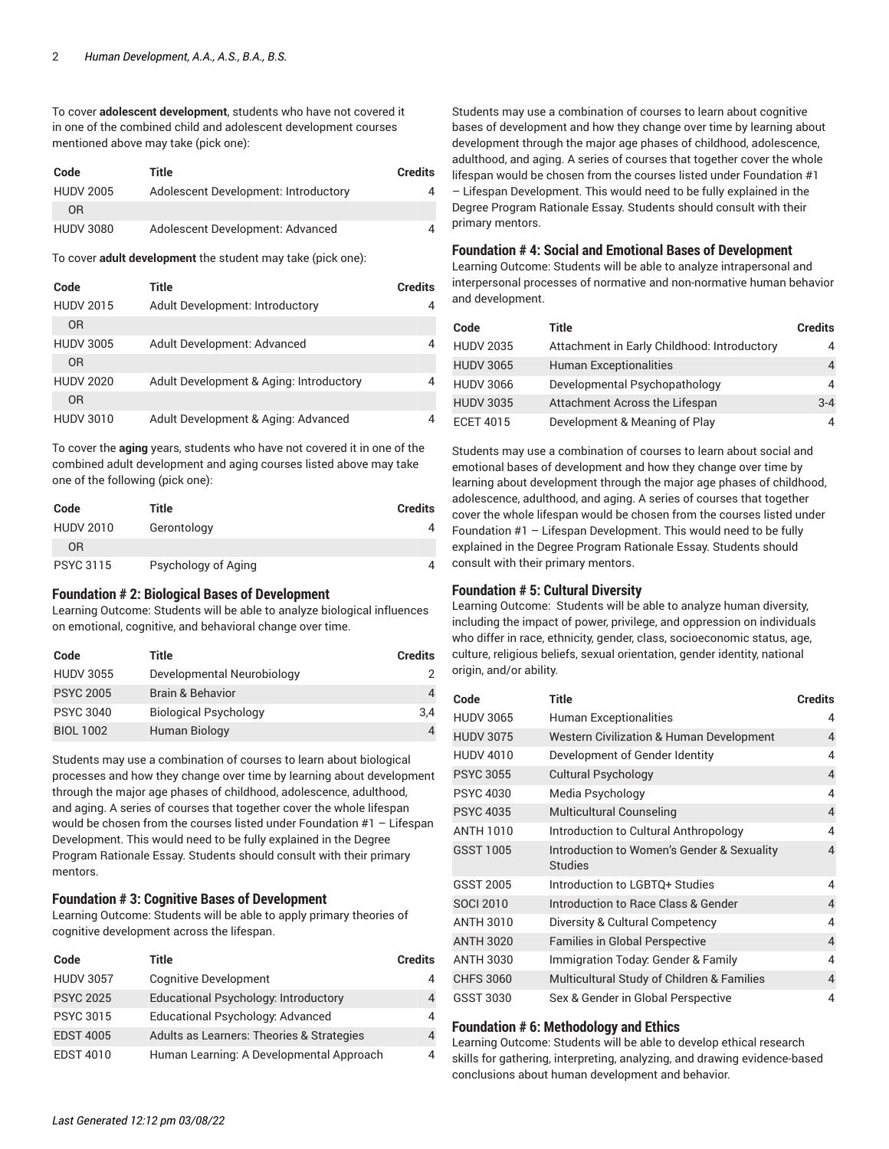To cover **adolescent development**, students who have not covered it in one of the combined child and adolescent development courses mentioned above may take (pick one):

| Code             | Title                                | Credits |
|------------------|--------------------------------------|---------|
| <b>HUDV 2005</b> | Adolescent Development: Introductory | 4       |
| 0 <sub>R</sub>   |                                      |         |
| <b>HUDV 3080</b> | Adolescent Development: Advanced     | 4       |

To cover **adult development** the student may take (pick one):

| Code             | Title                                   | Credits |
|------------------|-----------------------------------------|---------|
| <b>HUDV 2015</b> | Adult Development: Introductory         |         |
| 0 <sub>R</sub>   |                                         |         |
| <b>HUDV 3005</b> | Adult Development: Advanced             |         |
| 0 <sub>R</sub>   |                                         |         |
| <b>HUDV 2020</b> | Adult Development & Aging: Introductory |         |
| 0 <sub>R</sub>   |                                         |         |
| <b>HUDV 3010</b> | Adult Development & Aging: Advanced     |         |

To cover the **aging** years, students who have not covered it in one of the combined adult development and aging courses listed above may take one of the following (pick one):

| Code             | Title               | <b>Credits</b> |
|------------------|---------------------|----------------|
| <b>HUDV 2010</b> | Gerontology         |                |
| 0R               |                     |                |
| <b>PSYC 3115</b> | Psychology of Aging |                |

#### **Foundation # 2: Biological Bases of Development**

Learning Outcome: Students will be able to analyze biological influences on emotional, cognitive, and behavioral change over time.

| Code             | Title                        | <b>Credits</b> |
|------------------|------------------------------|----------------|
| <b>HUDV 3055</b> | Developmental Neurobiology   |                |
| <b>PSYC 2005</b> | Brain & Behavior             | 4              |
| <b>PSYC 3040</b> | <b>Biological Psychology</b> | 3.4            |
| <b>BIOL 1002</b> | Human Biology                | 4              |

Students may use a combination of courses to learn about biological processes and how they change over time by learning about development through the major age phases of childhood, adolescence, adulthood, and aging. A series of courses that together cover the whole lifespan would be chosen from the courses listed under Foundation #1 – Lifespan Development. This would need to be fully explained in the Degree Program Rationale Essay. Students should consult with their primary mentors.

#### **Foundation # 3: Cognitive Bases of Development**

Learning Outcome: Students will be able to apply primary theories of cognitive development across the lifespan.

| Code             | Title                                     | <b>Credits</b> |
|------------------|-------------------------------------------|----------------|
| <b>HUDV 3057</b> | <b>Cognitive Development</b>              |                |
| <b>PSYC 2025</b> | Educational Psychology: Introductory      |                |
| <b>PSYC 3015</b> | Educational Psychology: Advanced          | 4              |
| <b>EDST 4005</b> | Adults as Learners: Theories & Strategies |                |
| <b>EDST 4010</b> | Human Learning: A Developmental Approach  |                |

Students may use a combination of courses to learn about cognitive bases of development and how they change over time by learning about development through the major age phases of childhood, adolescence, adulthood, and aging. A series of courses that together cover the whole lifespan would be chosen from the courses listed under Foundation #1 – Lifespan Development. This would need to be fully explained in the Degree Program Rationale Essay. Students should consult with their primary mentors.

#### **Foundation # 4: Social and Emotional Bases of Development**

Learning Outcome: Students will be able to analyze intrapersonal and interpersonal processes of normative and non-normative human behavior and development.

| Code             | Title                                       | <b>Credits</b> |
|------------------|---------------------------------------------|----------------|
| <b>HUDV 2035</b> | Attachment in Early Childhood: Introductory |                |
| <b>HUDV 3065</b> | <b>Human Exceptionalities</b>               | 4              |
| <b>HUDV 3066</b> | Developmental Psychopathology               | 4              |
| <b>HUDV 3035</b> | Attachment Across the Lifespan              | $3 - 4$        |
| <b>ECET 4015</b> | Development & Meaning of Play               |                |

Students may use a combination of courses to learn about social and emotional bases of development and how they change over time by learning about development through the major age phases of childhood, adolescence, adulthood, and aging. A series of courses that together cover the whole lifespan would be chosen from the courses listed under Foundation #1 – Lifespan Development. This would need to be fully explained in the Degree Program Rationale Essay. Students should consult with their primary mentors.

#### **Foundation # 5: Cultural Diversity**

Learning Outcome: Students will be able to analyze human diversity, including the impact of power, privilege, and oppression on individuals who differ in race, ethnicity, gender, class, socioeconomic status, age, culture, religious beliefs, sexual orientation, gender identity, national origin, and/or ability.

| Code             | Title                                                        | <b>Credits</b> |
|------------------|--------------------------------------------------------------|----------------|
| <b>HUDV 3065</b> | <b>Human Exceptionalities</b>                                | 4              |
| <b>HUDV 3075</b> | Western Civilization & Human Development                     | 4              |
| <b>HUDV 4010</b> | Development of Gender Identity                               | 4              |
| <b>PSYC 3055</b> | <b>Cultural Psychology</b>                                   | 4              |
| <b>PSYC 4030</b> | Media Psychology                                             | 4              |
| <b>PSYC 4035</b> | <b>Multicultural Counseling</b>                              | 4              |
| <b>ANTH 1010</b> | Introduction to Cultural Anthropology                        | 4              |
| <b>GSST 1005</b> | Introduction to Women's Gender & Sexuality<br><b>Studies</b> | 4              |
| GSST 2005        | Introduction to LGBTO+ Studies                               | 4              |
| <b>SOCI 2010</b> | Introduction to Race Class & Gender                          | 4              |
| <b>ANTH 3010</b> | Diversity & Cultural Competency                              | 4              |
| <b>ANTH 3020</b> | <b>Families in Global Perspective</b>                        | 4              |
| <b>ANTH 3030</b> | Immigration Today: Gender & Family                           | 4              |
| <b>CHFS 3060</b> | Multicultural Study of Children & Families                   | 4              |
| GSST 3030        | Sex & Gender in Global Perspective                           | 4              |

#### **Foundation # 6: Methodology and Ethics**

Learning Outcome: Students will be able to develop ethical research skills for gathering, interpreting, analyzing, and drawing evidence-based conclusions about human development and behavior.